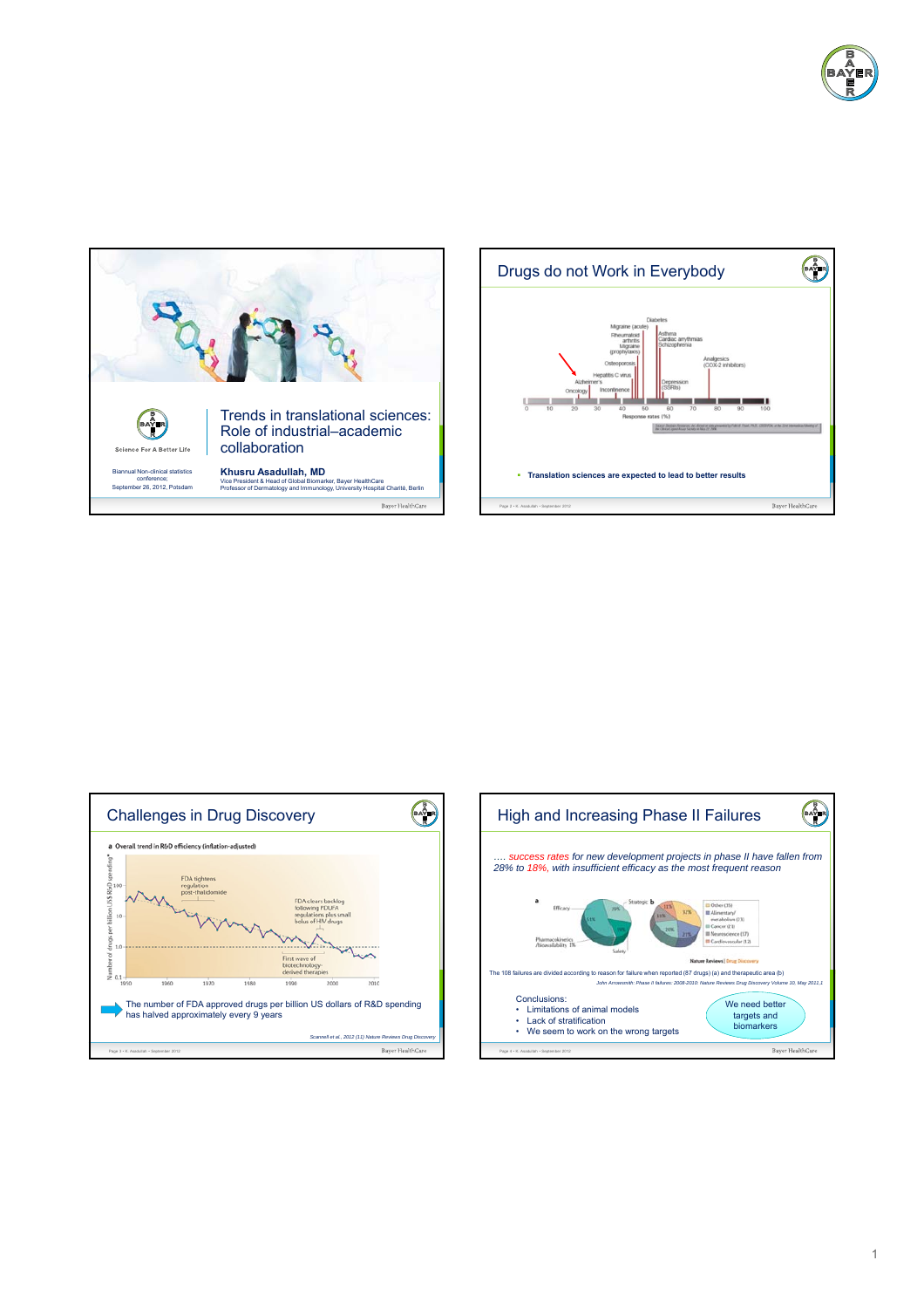







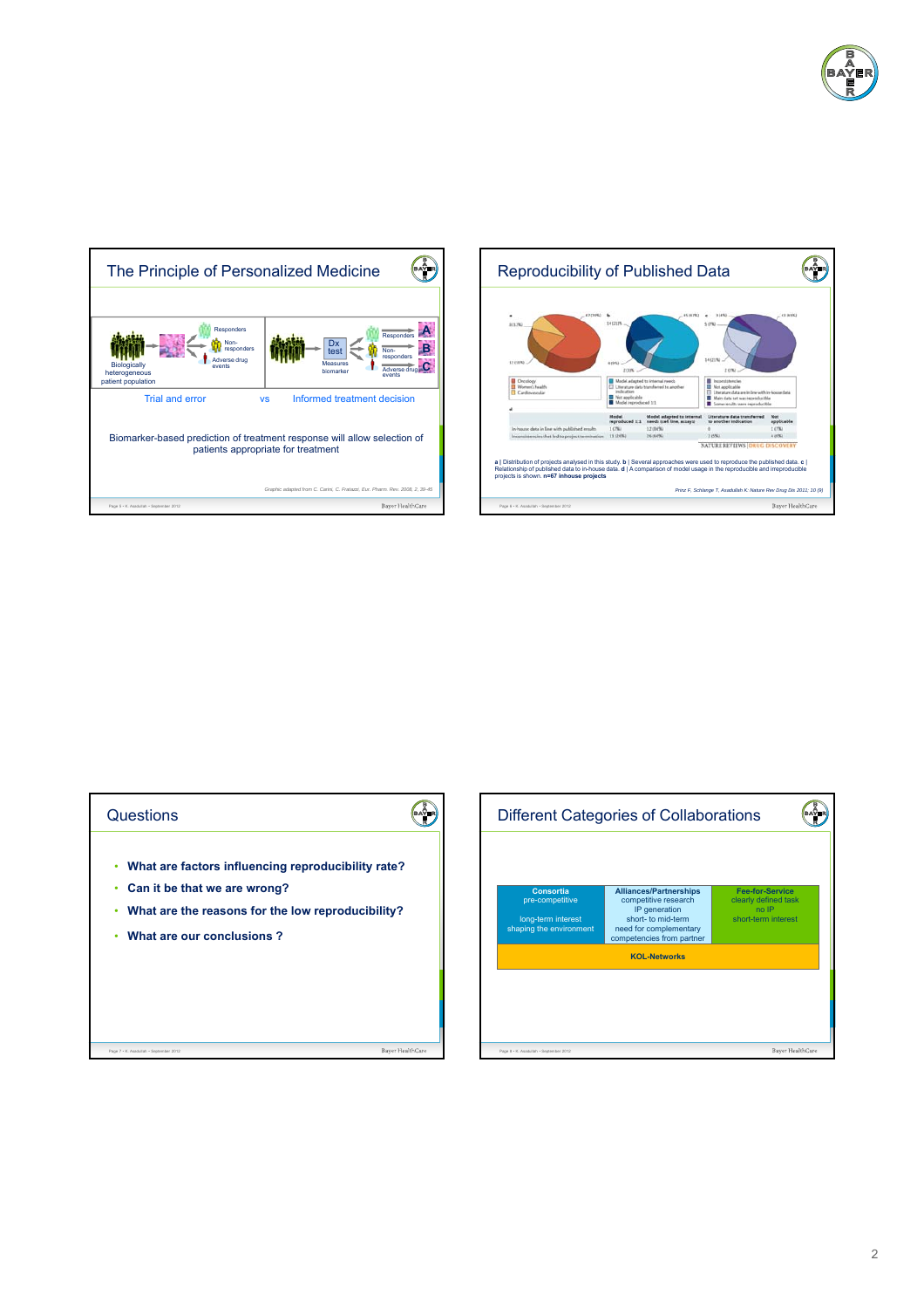







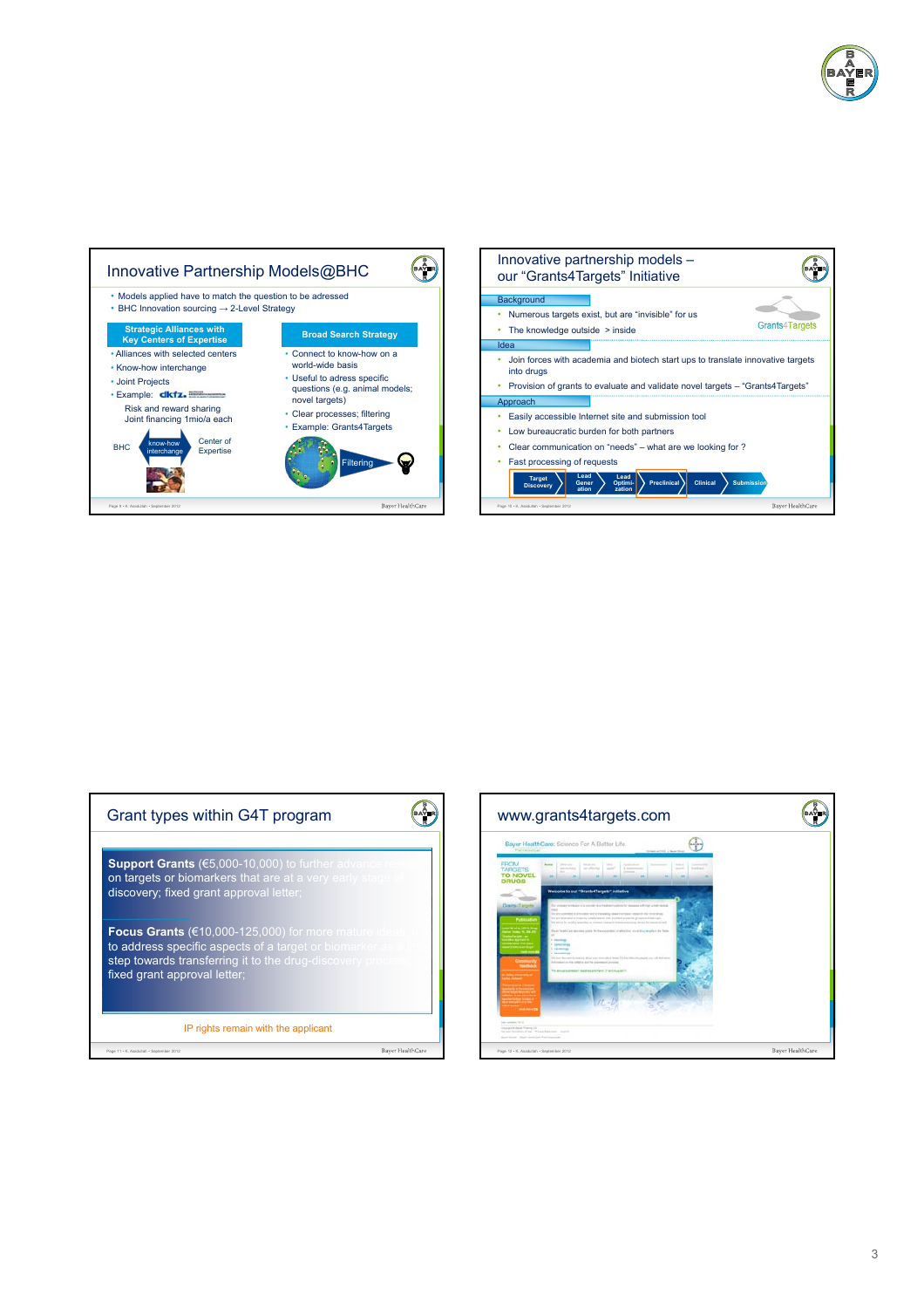







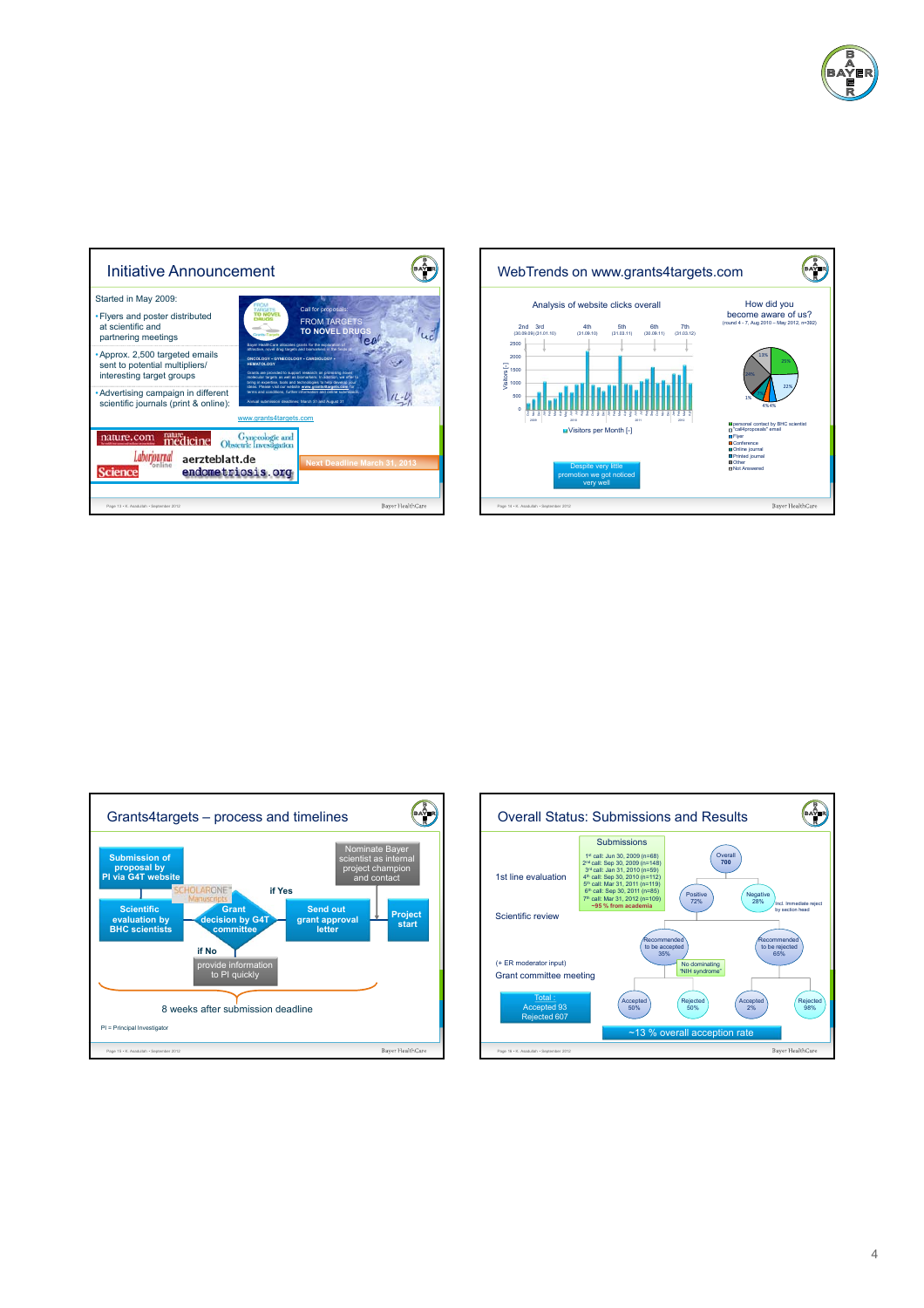





![](_page_3_Figure_3.jpeg)

![](_page_3_Figure_4.jpeg)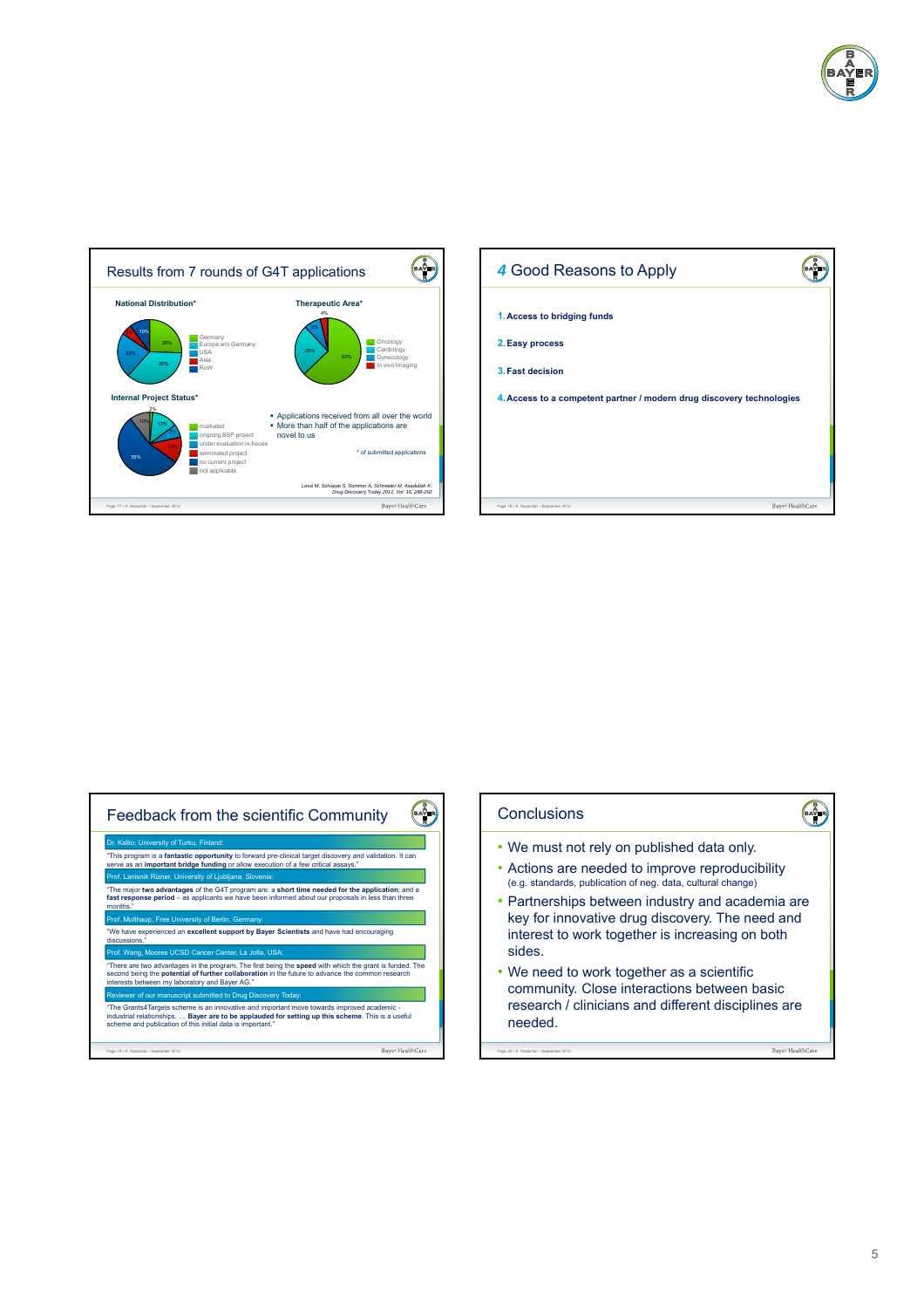![](_page_4_Picture_0.jpeg)

![](_page_4_Figure_1.jpeg)

![](_page_4_Figure_2.jpeg)

![](_page_4_Figure_3.jpeg)

![](_page_4_Figure_4.jpeg)

5